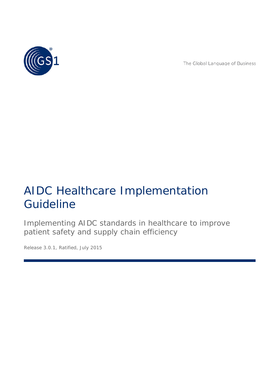

The Global Language of Business

# AIDC Healthcare Implementation Guideline

Implementing AIDC standards in healthcare to improve patient safety and supply chain efficiency

*Release 3.0.1, Ratified, July 2015*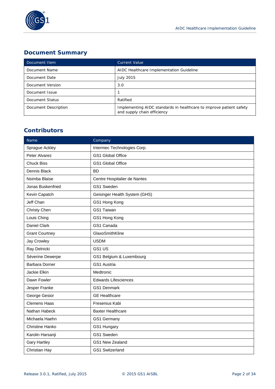

### **Document Summary**

| Document Item        | <b>Current Value</b>                                                                               |
|----------------------|----------------------------------------------------------------------------------------------------|
| Document Name        | AIDC Healthcare Implementation Guideline                                                           |
| Document Date        | <b>July 2015</b>                                                                                   |
| Document Version     | 3.0                                                                                                |
| Document Issue       |                                                                                                    |
| Document Status      | Ratified                                                                                           |
| Document Description | Implementing AIDC standards in healthcare to improve patient safety<br>and supply chain efficiency |

### **Contributors**

| Name                  | Company                       |  |
|-----------------------|-------------------------------|--|
| Sprague Ackley        | Intermec Technologies Corp.   |  |
| Peter Alvarez         | <b>GS1 Global Office</b>      |  |
| <b>Chuck Biss</b>     | GS1 Global Office             |  |
| Dennis Black          | <b>BD</b>                     |  |
| Nsimba Blaise         | Centre Hospitalier de Nantes  |  |
| Jonas Buskenfried     | GS1 Sweden                    |  |
| Kevin Capatch         | Geisinger Health System (GHS) |  |
| Jeff Chan             | GS1 Hong Kong                 |  |
| Christy Chen          | GS1 Taiwan                    |  |
| Louis Ching           | GS1 Hong Kong                 |  |
| <b>Daniel Clark</b>   | GS1 Canada                    |  |
| <b>Grant Courtney</b> | GlaxoSmithKline               |  |
| Jay Crowley           | <b>USDM</b>                   |  |
| Ray Delnicki          | GS1 US                        |  |
| Séverine Dewerpe      | GS1 Belgium & Luxembourg      |  |
| <b>Barbara Dorner</b> | GS1 Austria                   |  |
| Jackie Elkin          | Medtronic                     |  |
| Dawn Fowler           | <b>Edwards Lifesciences</b>   |  |
| Jesper Franke         | <b>GS1 Denmark</b>            |  |
| George Gesior         | <b>GE Healthcare</b>          |  |
| <b>Clemens Haas</b>   | Fresenius Kabi                |  |
| Nathan Habeck         | <b>Baxter Healthcare</b>      |  |
| Michaela Haehn        | GS1 Germany                   |  |
| Christine Hanko       | GS1 Hungary                   |  |
| Karolin Harsanji      | GS1 Sweden                    |  |
| <b>Gary Hartley</b>   | GS1 New Zealand               |  |
| Christian Hay         | GS1 Switzerland               |  |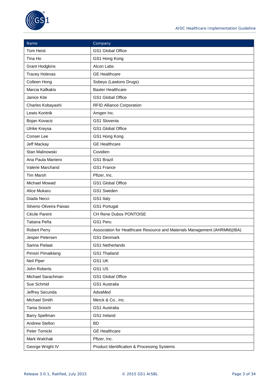

| Name                     | Company                                                                   |  |
|--------------------------|---------------------------------------------------------------------------|--|
| <b>Tom Heist</b>         | GS1 Global Office                                                         |  |
| Tina Ho                  | GS1 Hong Kong                                                             |  |
| <b>Grant Hodgkins</b>    | Alcon Labs                                                                |  |
| <b>Tracey Holevas</b>    | <b>GE Healthcare</b>                                                      |  |
| Colleen Hong             | Sobeys (Lawtons Drugs)                                                    |  |
| Marcia Kafkakis          | <b>Baxter Healthcare</b>                                                  |  |
| Janice Kite              | GS1 Global Office                                                         |  |
| Charles Kobayashi        | <b>RFID Alliance Corporation</b>                                          |  |
| Lewis Kontnik            | Amgen Inc.                                                                |  |
| Bojan Kovacic            | GS1 Slovenia                                                              |  |
| Ulrike Kreysa            | <b>GS1 Global Office</b>                                                  |  |
| Conser Lee               | GS1 Hong Kong                                                             |  |
| Jeff Mackay              | <b>GE Healthcare</b>                                                      |  |
| Stan Malinowski          | Covidien                                                                  |  |
| Ana Paula Maniero        | <b>GS1 Brazil</b>                                                         |  |
| Valerie Marchand         | GS1 France                                                                |  |
| <b>Tim Marsh</b>         | Pfizer, Inc.                                                              |  |
| Michael Mowad            | GS1 Global Office                                                         |  |
| Alice Mukaru             | GS1 Sweden                                                                |  |
| Giada Necci              | GS1 Italy                                                                 |  |
| Silverio Oliveira Paixao | GS1 Portugal                                                              |  |
| Cécile Parent            | CH Rene Dubos PONTOISE                                                    |  |
| Tatiana Peña             | GS1 Peru                                                                  |  |
| Robert Perry             | Association for Healthcare Resource and Materials Management (AHRMM)(IBA) |  |
| Jesper Petersen          | <b>GS1 Denmark</b>                                                        |  |
| Sarina Pielaat           | GS1 Netherlands                                                           |  |
| Pimsiri Pimaiklang       | GS1 Thailand                                                              |  |
| Neil Piper               | GS1 UK                                                                    |  |
| John Roberts             | GS1 US                                                                    |  |
| Michael Sarachman        | GS1 Global Office                                                         |  |
| Sue Schmid               | GS1 Australia                                                             |  |
| Jeffrey Secunda          | AdvaMed                                                                   |  |
| Michael Smith            | Merck & Co., Inc.                                                         |  |
| Tania Snioch             | GS1 Australia                                                             |  |
| Barry Spellman           | GS1 Ireland                                                               |  |
| Andrew Stellon           | <b>BD</b>                                                                 |  |
| Peter Tomicki            | <b>GE Healthcare</b>                                                      |  |
| Mark Walchak             | Pfizer, Inc.                                                              |  |
| George Wright IV         | Product Identification & Processing Systems                               |  |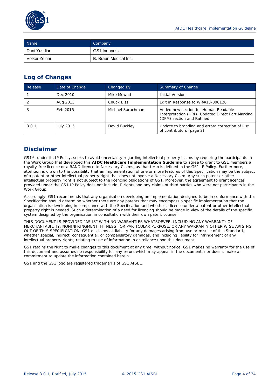

| Name          | Company               |
|---------------|-----------------------|
| Dani Yusdiar  | GS1 Indonesia         |
| Volker Zeinar | B. Braun Medical Inc. |

### **Log of Changes**

| Release | Date of Change | Changed By        | Summary of Change                                                                                                       |
|---------|----------------|-------------------|-------------------------------------------------------------------------------------------------------------------------|
|         | Dec 2010       | Mike Mowad        | <b>Initial Version</b>                                                                                                  |
|         | Aug 2013       | <b>Chuck Biss</b> | Edit in Response to $WR#13-000128$                                                                                      |
| చ       | Feb 2015       | Michael Sarachman | Added new section for Human Readable<br>Interpretation (HRI). Updated Direct Part Marking<br>(DPM) section and Ratified |
| 3.0.1   | July 2015      | David Buckley     | Update to branding and errata correction of List<br>of contributors (page 2)                                            |

### **Disclaimer**

 $GS1<sup>®</sup>$ , under its IP Policy, seeks to avoid uncertainty regarding intellectual property claims by requiring the participants in the Work Group that developed this **AIDC Healthcare Implementation Guideline** to agree to grant to GS1 members a royalty-free licence or a RAND licence to Necessary Claims, as that term is defined in the GS1 IP Policy. Furthermore, attention is drawn to the possibility that an implementation of one or more features of this Specification may be the subject of a patent or other intellectual property right that does not involve a Necessary Claim. Any such patent or other intellectual property right is not subject to the licencing obligations of GS1. Moreover, the agreement to grant licences provided under the GS1 IP Policy does not include IP rights and any claims of third parties who were not participants in the Work Group.

Accordingly, GS1 recommends that any organisation developing an implementation designed to be in conformance with this Specification should determine whether there are any patents that may encompass a specific implementation that the organisation is developing in compliance with the Specification and whether a licence under a patent or other intellectual property right is needed. Such a determination of a need for licencing should be made in view of the details of the specific system designed by the organisation in consultation with their own patent counsel.

THIS DOCUMENT IS PROVIDED "AS IS" WITH NO WARRANTIES WHATSOEVER, INCLUDING ANY WARRANTY OF MERCHANTABILITY, NONINFRINGMENT, FITNESS FOR PARTICULAR PURPOSE, OR ANY WARRANTY OTHER WISE ARISING OUT OF THIS SPECIFICATION. GS1 disclaims all liability for any damages arising from use or misuse of this Standard, whether special, indirect, consequential, or compensatory damages, and including liability for infringement of any intellectual property rights, relating to use of information in or reliance upon this document.

GS1 retains the right to make changes to this document at any time, without notice. GS1 makes no warranty for the use of this document and assumes no responsibility for any errors which may appear in the document, nor does it make a commitment to update the information contained herein.

GS1 and the GS1 logo are registered trademarks of GS1 AISBL.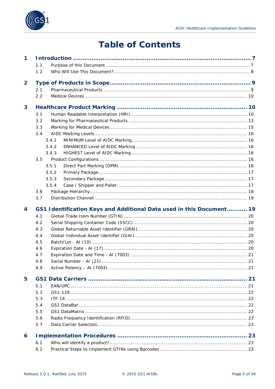# **Table of Contents**

| $\mathbf 1$    |     |                                                                      |    |
|----------------|-----|----------------------------------------------------------------------|----|
|                | 1.1 |                                                                      |    |
|                | 1.2 |                                                                      |    |
| $\overline{2}$ |     |                                                                      |    |
|                | 2.1 |                                                                      |    |
|                | 2.2 |                                                                      |    |
| 3              |     |                                                                      |    |
|                | 3.1 |                                                                      |    |
|                | 3.2 |                                                                      |    |
|                | 3.3 |                                                                      |    |
|                | 3.4 |                                                                      |    |
|                |     | 3.4.1                                                                |    |
|                |     | 3.4.2                                                                |    |
|                |     | 3.4.3                                                                |    |
|                | 3.5 |                                                                      |    |
|                |     | 3.5.1                                                                |    |
|                |     | 3.5.2                                                                |    |
|                |     | 3.5.3                                                                |    |
|                |     | 3.5.4                                                                |    |
|                | 3.6 |                                                                      |    |
|                | 3.7 |                                                                      |    |
| 4              |     | GS1 Identification Keys and Additional Data used in this Document 19 |    |
|                | 4.1 |                                                                      |    |
|                | 4.2 |                                                                      |    |
|                | 4.3 |                                                                      |    |
|                | 4.4 |                                                                      |    |
|                | 4.5 |                                                                      |    |
|                | 4.6 |                                                                      |    |
|                | 4.7 |                                                                      |    |
|                | 4.8 |                                                                      | 21 |
|                | 4.9 |                                                                      |    |
| 5              |     |                                                                      |    |
|                | 5.1 |                                                                      |    |
|                | 5.2 |                                                                      |    |
|                | 5.3 |                                                                      |    |
|                | 5.4 |                                                                      |    |
|                | 5.5 |                                                                      |    |
|                | 5.6 |                                                                      |    |
|                | 5.7 |                                                                      |    |
|                |     |                                                                      |    |
| 6              |     |                                                                      |    |
|                | 6.1 |                                                                      |    |
|                | 6.2 |                                                                      |    |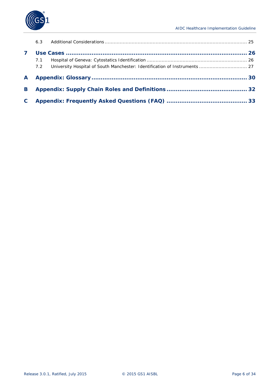

|   | 6.3 |  |
|---|-----|--|
|   |     |  |
|   | 7.1 |  |
|   | 7.2 |  |
| A |     |  |
| B |     |  |
| C |     |  |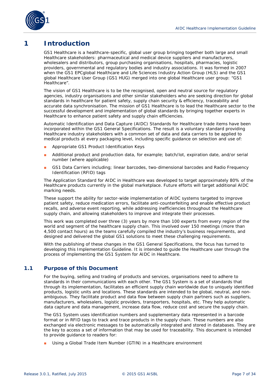

### <span id="page-6-0"></span>**1 Introduction**

GS1 Healthcare is a healthcare-specific, global user group bringing together both large and small Healthcare stakeholders: pharmaceutical and medical device suppliers and manufacturers, wholesalers and distributors, group purchasing organisations, hospitals, pharmacies, logistic providers, governmental and regulatory bodies and industry associations. It was formed in 2007 when the GS1 EPCglobal Healthcare and Life Sciences Industry Action Group (HLS) and the GS1 global Healthcare User Group (GS1 HUG) merged into one global Healthcare user group: "GS1 Healthcare".

The vision of GS1 Healthcare is to be the recognised, open and neutral source for regulatory agencies, industry organisations and other similar stakeholders who are seeking direction for global standards in healthcare for patient safety, supply chain security & efficiency, traceability and accurate data synchronisation. The mission of GS1 Healthcare is to lead the Healthcare sector to the successful development and implementation of global standards by bringing together experts in Healthcare to enhance patient safety and supply chain efficiencies.

Automatic Identification and Data Capture (AIDC) Standards for Healthcare trade items have been incorporated within the *GS1 General Specifications*. The result is a voluntary standard providing Healthcare industry stakeholders with a common set of data and data carriers to be applied to medical products at every packaging level, including specific guidance on selection and use of:

- Appropriate GS1 Product Identification Keys
- Additional product and production data, for example; batch/lot, expiration date, and/or serial number (where applicable)
- GS1 Data Carriers including; linear barcodes, two-dimensional barcodes and Radio Frequency Identification (RFID) tags

The Application Standard for AIDC in Healthcare was developed to target approximately 80% of the Healthcare products currently in the global marketplace. Future efforts will target additional AIDC marking needs.

These support the ability for sector-wide implementation of AIDC systems targeted to improve patient safety, reduce medication errors, facilitate anti-counterfeiting and enable effective product recalls, and adverse event reporting, while addressing inefficiencies throughout the Healthcare supply chain, and allowing stakeholders to improve and integrate their processes.

This work was completed over three (3) years by more than 100 experts from every region of the world and segment of the healthcare supply chain. This involved over 150 meetings (more than 4,500 contact hours) as the teams carefully compiled the industry's business requirements, and designed and delivered the global GS1 solutions to meet these challenging requirements.

With the publishing of these changes in the *GS1 General Specifications*, the focus has turned to developing this Implementation Guideline. It is intended to guide the Healthcare user through the process of implementing the GS1 System for AIDC in Healthcare.

#### <span id="page-6-1"></span>**1.1 Purpose of this Document**

For the buying, selling and trading of products and services, organisations need to adhere to standards in their communications with each other. The GS1 System is a set of standards that through its implementation, facilitates an efficient supply chain worldwide due to uniquely identified products, logistic units and locations. These standards are intended to be global, neutral, and nonambiguous. They facilitate product and data flow between supply chain partners such as suppliers, manufacturers, wholesalers, logistic providers, transporters, hospitals, etc. They help automatic data capture and data management, increase data flow, reduce cost and secure the supply chain.

The GS1 System uses identification numbers and supplementary data represented in a barcode format or in RFID tags to track and trace products in the supply chain. These numbers are also exchanged via electronic messages to be automatically integrated and stored in databases. They are the key to access a set of information that may be used for traceability. This document is intended to provide guidance to readers for:

■ Using a Global Trade Item Number (GTIN) in a Healthcare environment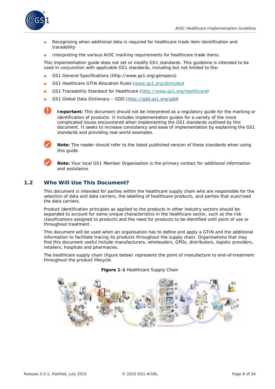

- Recognising when additional data is required for healthcare trade item identification and traceability
- Interpreting the various AIDC marking requirements for healthcare trade items.

This implementation guide does not set or modify GS1 standards. This guideline is intended to be used in conjunction with applicable GS1 standards, including but not limited to the:

- *GS1 General Specifications* (http://www.gs1.org/genspecs)
- *GS1 Healthcare GTIN Allocation Rules* (*[www.gs1.org/gtinrules](http://www.gs1.org/gtinrules)*)
- *GS1 Traceability Standard for Healthcare* (*<http://www.gs1.org/healthcare>*)
- *GS1 Global Data Dictionary – GDD* (*[http://gdd.gs1.org/gdd](http://gdd.gs1.org/gdd/public/default.asp)*)

**Important:** This document should not be interpreted as a regulatory guide for the marking or identification of products. It includes implementation guides for a variety of the more complicated issues encountered when implementing the GS1 standards outlined by this document. It seeks to increase consistency and ease of implementation by explaining the GS1 standards and providing real-world examples.



**Note:** The reader should refer to the latest published version of these standards when using this quide.



**Note:** Your local GS1 Member Organisation is the primary contact for additional information and assistance.

#### <span id="page-7-0"></span>**1.2 Who Will Use This Document?**

This document is intended for parties within the healthcare supply chain who are responsible for the selection of data and data carriers, the labelling of healthcare products, and parties that scan/read the data carriers.

Product identification principles as applied to the products in other industry sectors should be expanded to account for some unique characteristics in the healthcare sector, such as the risk classifications assigned to products and the need for products to be identified until point of use or throughout treatment.

This document will be used when an organisation has to define and apply a GTIN and the additional information to facilitate tracing its products throughout the supply chain. Organisations that may find this document useful include manufacturers, wholesalers, GPOs, distributors, logistic providers, retailers, hospitals and pharmacies.

The healthcare supply chain (figure below) represents the point of manufacture to end-of-treatment throughout the product lifecycle.



**Figure 1-1** Healthcare Supply Chain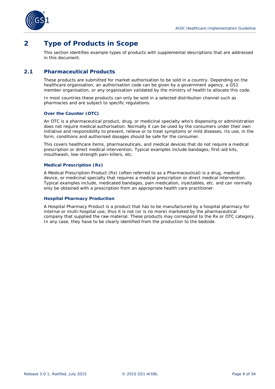

### <span id="page-8-0"></span>**2 Type of Products in Scope**

This section identifies example types of products with supplemental descriptions that are addressed in this document.

#### <span id="page-8-1"></span>**2.1 Pharmaceutical Products**

These products are submitted for market authorisation to be sold in a country. Depending on the healthcare organisation, an authorisation code can be given by a government agency, a GS1 member organisation, or any organisation validated by the ministry of health to allocate this code.

In most countries these products can only be sold in a selected distribution channel such as pharmacies and are subject to specific regulations.

#### **Over the Counter (OTC)**

An OTC is a pharmaceutical product, drug, or medicinal specialty who's dispensing or administration does not require medical authorisation. Normally it can be used by the consumers under their own initiative and responsibility to prevent, relieve or to treat symptoms or mild diseases. Its use, in the form, conditions and authorised dosages should be safe for the consumer.

This covers healthcare items, pharmaceuticals, and medical devices that do not require a medical prescription or direct medical intervention. Typical examples include bandages, first-aid kits, mouthwash, low-strength pain-killers, etc.

#### **Medical Prescription (Rx)**

A Medical Prescription Product (Rx) (often referred to as a Pharmaceutical) is a drug, medical device, or medicinal specialty that requires a medical prescription or direct medical intervention. Typical examples include, medicated bandages, pain medication, injectables, etc. and can normally only be obtained with a prescription from an appropriate health care practitioner.

#### **Hospital Pharmacy Production**

A Hospital Pharmacy Product is a product that has to be manufactured by a hospital pharmacy for internal or multi-hospital use, thus it is not (or is no more) marketed by the pharmaceutical company that supplied the raw material. These products may correspond to the Rx or OTC category. In any case, they have to be clearly identified from the production to the bedside.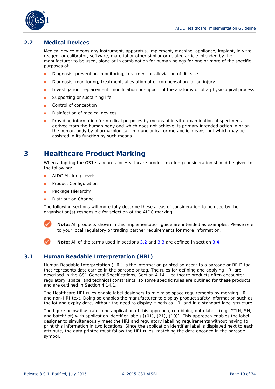

#### <span id="page-9-0"></span>**2.2 Medical Devices**

Medical device means any instrument, apparatus, implement, machine, appliance, implant, in vitro reagent or calibrator, software, material or other similar or related article intended by the manufacturer to be used, alone or in combination for human beings for one or more of the specific purposes of:

- Diagnosis, prevention, monitoring, treatment or alleviation of disease
- Diagnosis, monitoring, treatment, alleviation of or compensation for an injury
- Investigation, replacement, modification or support of the anatomy or of a physiological process
- Supporting or sustaining life
- Control of conception
- Disinfection of medical devices
- Providing information for medical purposes by means of in vitro examination of specimens derived from the human body and which does not achieve its primary intended action in or on the human body by pharmacological, immunological or metabolic means, but which may be assisted in its function by such means.

### <span id="page-9-1"></span>**3 Healthcare Product Marking**

When adopting the GS1 standards for Healthcare product marking consideration should be given to the following:

- AIDC Marking Levels
- Product Configuration
- Package Hierarchy
- Distribution Channel

The following sections will more fully describe these areas of consideration to be used by the organisation(s) responsible for selection of the AIDC marking.



**Note:** All products shown in this implementation guide are intended as examples. Please refer to your local regulatory or trading partner requirements for more information.

**Note:** All of the terms used in sections *3.2* and *[3.3](#page-14-0)* are defined in section *[3.4](#page-15-0)*.

#### <span id="page-9-2"></span>**3.1 Human Readable Interpretation (HRI)**

Human Readable Interpretation (HRI) is the information printed adjacent to a barcode or RFID tag that represents data carried in the barcode or tag. The rules for defining and applying HRI are described in the GS1 General Specifications, Section 4.14. Healthcare products often encounter regulatory, space, and technical constraints, so some specific rules are outlined for these products and are outlined in Section 4.14.1.

The Healthcare HRI rules enable label designers to minimise space requirements by merging HRI and non-HRI text. Doing so enables the manufacturer to display product safety information such as the lot and expiry date, without the need to display it both as HRI and in a standard label structure.

The figure below illustrates one application of this approach, combining data labels (e.g. GTIN, SN, and batch/lot) with application identifier labels [(01), (21), (10)]. This approach enables the label designer to simultaneously meet the HRI and regulatory labelling requirements without having to print this information in two locations. Since the application identifier label is displayed next to each attribute, the data printed must follow the HRI rules, matching the data encoded in the barcode symbol.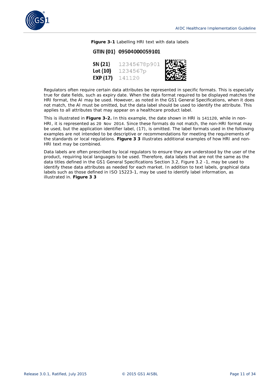

**Figure 3-1** Labelling HRI text with data labels

#### GTIN (01) 09504000059101

| SN (21)  | 12345678p901 | Allen<br>Den |
|----------|--------------|--------------|
| Lot (10) | 1234567p     |              |
| EXP (17) | 141120       |              |

Regulators often require certain data attributes be represented in specific formats. This is especially true for date fields, such as expiry date. When the data format required to be displayed matches the HRI format, the AI may be used. However, as noted in the GS1 General Specifications, when it does not match, the AI must be omitted, but the data label should be used to identify the attribute. This applies to all attributes that may appear on a healthcare product label.

This is illustrated in **Figure 3-2.** In this example, the date shown in HRI is 141120, while in non-HRI, it is represented as 20 Nov 2014. Since these formats do not match, the non-HRI format may be used, but the application identifier label, (17), is omitted. The label formats used in the following examples are not intended to be descriptive or recommendations for meeting the requirements of the standards or local regulations. **Figure 3 3** illustrates additional examples of how HRI and non-HRI text may be combined.

Data labels are often prescribed by local regulators to ensure they are understood by the user of the product, requiring local languages to be used. Therefore, data labels that are not the same as the data titles defined in the GS1 General Specifications Section 3.2, Figure 3.2 -1, may be used to identify these data attributes as needed for each market. In addition to text labels, graphical data labels such as those defined in ISO 15223-1, may be used to identify label information, as illustrated in. **Figure 3 3**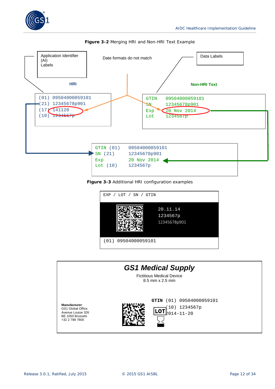





**Figure 3-3** Additional HRI configuration examples



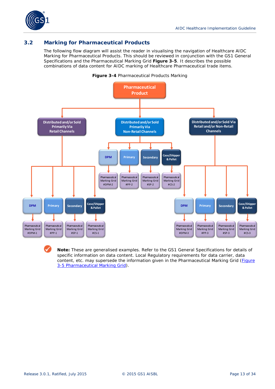

#### <span id="page-12-0"></span>**3.2 Marking for Pharmaceutical Products**

The following flow diagram will assist the reader in visualising the navigation of Healthcare AIDC Marking for Pharmaceutical Products. This should be reviewed in conjunction with the *GS1 General Specifications* and the Pharmaceutical Marking Grid **Figure 3-5**. It describes the possible combinations of data content for AIDC marking of Healthcare Pharmaceutical trade items.



**Note:** These are generalised examples. Refer to the *GS1 General Specifications* for details of specific information on data content. Local Regulatory requirements for data carrier, data content, etc. may supersede the information given in the Pharmaceutical Marking Grid (*Figure 3-5 Pharmaceutical Marking Grid*).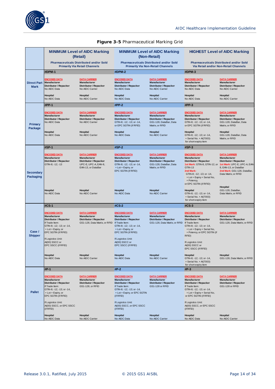

#### **Figure 3-5** Pharmaceutical Marking Grid

|                                   | <b>MINIMUM Level of AIDC Marking</b><br>(Retail)                                                                                                                                       |                                                                                                                      | <b>MINIMUM Level of AIDC Marking</b><br>(Non-Retail)                                                                                                                 |                                                                                                                   | <b>HIGHEST Level of AIDC Marking</b>                                                                                                                                                                                  |                                                                                                                                                                                      |
|-----------------------------------|----------------------------------------------------------------------------------------------------------------------------------------------------------------------------------------|----------------------------------------------------------------------------------------------------------------------|----------------------------------------------------------------------------------------------------------------------------------------------------------------------|-------------------------------------------------------------------------------------------------------------------|-----------------------------------------------------------------------------------------------------------------------------------------------------------------------------------------------------------------------|--------------------------------------------------------------------------------------------------------------------------------------------------------------------------------------|
|                                   |                                                                                                                                                                                        | <b>Pharmaceuticals Distributed and/or Sold</b><br><b>Primarily Via Retail Channels</b>                               |                                                                                                                                                                      | <b>Pharmaceuticals Distributed and/or Sold</b><br><b>Primarily Via Non-Retail Channels</b>                        | <b>Pharmaceuticals Distributed and/or Sold</b><br>Via Retail and/or Non-Retail Channels                                                                                                                               |                                                                                                                                                                                      |
|                                   | #DPM-1                                                                                                                                                                                 |                                                                                                                      | #DPM-2                                                                                                                                                               |                                                                                                                   | #DPM-3                                                                                                                                                                                                                |                                                                                                                                                                                      |
| <b>Direct Part</b><br><b>Mark</b> | <b>ENCODED DATA</b><br>Manufacturer<br><b>Distributor / Repacker</b><br>No AIDC Data                                                                                                   | <b>DATA CARRIER</b><br>Manufacturer<br><b>Distributor / Repacker</b><br>No AIDC Carrier                              | <b>ENCODED DATA</b><br>Manufacturer<br><b>Distributor / Repacker</b><br>No AIDC Data                                                                                 | <b>DATA CARRIER</b><br>Manufacturer<br><b>Distributor / Repacker</b><br>No AIDC Carrier                           | <b>ENCODED DATA</b><br>Manufacturer<br><b>Distributor / Repacker</b><br>No AIDC Data                                                                                                                                  | <b>DATA CARRIER</b><br>Manufacturer<br><b>Distributor / Repacker</b><br>No AIDC Carrier                                                                                              |
|                                   | <b>Hospital</b><br>No AIDC Data                                                                                                                                                        | Hospital<br>No AIDC Carrier                                                                                          | <b>Hospital</b><br>No AIDC Data                                                                                                                                      | <b>Hospital</b><br>No AIDC Carrier                                                                                | Hospital<br>No AIDC Data                                                                                                                                                                                              | Hospital<br>No AIDC Carrier                                                                                                                                                          |
|                                   | #PP-1                                                                                                                                                                                  |                                                                                                                      | $#PP-2$                                                                                                                                                              |                                                                                                                   | $#PP-3$                                                                                                                                                                                                               |                                                                                                                                                                                      |
| Primary<br>Package                | <b>ENCODED DATA</b><br><b>Manufacturer</b><br><b>Distributor / Repacker</b><br>No AIDC Data                                                                                            | <b>DATA CARRIER</b><br>Manufacturer<br><b>Distributor / Repacker</b><br>No AIDC Carrier                              | <b>ENCODED DATA</b><br>Manufacturer<br>Distributor / Repacker<br>GTIN-8; -12; -13; or -14,<br>or EPC SGTIN (if RFID)                                                 | <b>DATA CARRIER</b><br>Manufacturer<br><b>Distributor / Repacker</b><br>GS1-128, DataBar, Data<br>Matrix, or RFID | <b>ENCODED DATA</b><br>Manufacturer<br>Distributor / Repacker<br>GTIN-8; -12; -13; or -14,<br>or EPC SGTIN (if RFID)                                                                                                  | <b>DATA CARRIER</b><br>Manufacturer<br><b>Distributor / Repacker</b><br>GS1-128, DataBar, Data<br>Matrix, or RFID                                                                    |
|                                   | Hospital<br>No AIDC Data                                                                                                                                                               | Hospital<br>No AIDC Carrier                                                                                          | <b>Hospital</b><br>No AIDC Data                                                                                                                                      | <b>Hospital</b><br>No AIDC Carrier                                                                                | Hospital<br>GTIN-8; -12; -13; or -14,<br>+ Serial No. + Al(7003)<br>for short-expiry item                                                                                                                             | Hospital<br>GS1-128, DataBar, Data<br>Matrix, or RFID                                                                                                                                |
|                                   | <b>#SP-1</b>                                                                                                                                                                           |                                                                                                                      | $#SP-2$                                                                                                                                                              |                                                                                                                   | $#SP-3$                                                                                                                                                                                                               |                                                                                                                                                                                      |
| <b>Secondary</b><br>Packaging     | <b>ENCODED DATA</b><br><b>Manufacturer</b><br><b>Distributor / Repacker</b><br>GTIN-8; -12; -13                                                                                        | <b>DATA CARRIER</b><br>Manufacturer<br><b>Distributor / Repacker</b><br>UPC-E, UPC-A, EAN-8,<br>EAN-13, or DataBar   | <b>ENCODED DATA</b><br><b>Manufacturer</b><br><b>Distributor / Repacker</b><br>GTIN-8; -12; -13; or -14,<br>+ Lot + Expiry, or<br>EPC SGTIN (if RFID)                | <b>DATA CARRIER</b><br>Manufacturer<br>Distributor / Repacker<br>GS1-128, DataBar, Data<br>Matrix, or RFID        | <b>ENCODED DATA</b><br><b>Manufacturer</b><br><b>Distributor / Repacker</b><br>1st Mark: GTIN-8, GTIN-12, or<br><b>GTIN-13</b><br>2nd Mark:<br>GTIN-8; -12; -13; or -14,<br>+ Lot + Expiry + Serial No,<br>+ Potency, | <b>DATA CARRIER</b><br>Manufacturer<br><b>Distributor / Repacker</b><br>1st Mark: UPC-E, UPC-A, EAN-<br>8, EAN-13, or DataBar<br>2nd Mark: GS1-128, DataBar,<br>Data Matrix, or RFID |
|                                   | Hospital<br>No AIDC Data                                                                                                                                                               | Hospital<br>No AIDC Carrier                                                                                          | Hospital<br>No AIDC Data                                                                                                                                             | <b>Hospital</b><br>No AIDC Carrier                                                                                | or EPC SGTIN (if RFID)<br>Hospital<br>GTIN-8; -12; -13; or -14,<br>+ Serial No. + Al(7003)<br>for short-expiry item                                                                                                   | Hospital<br>GS1-128, DataBar,<br>Data Matrix, or RFID                                                                                                                                |
|                                   | #CS-1                                                                                                                                                                                  |                                                                                                                      | $#CS-2$                                                                                                                                                              |                                                                                                                   | #CS-3                                                                                                                                                                                                                 |                                                                                                                                                                                      |
| Case /<br><b>Shipper</b>          | <b>ENCODED DATA</b><br>Manufacturer<br><b>Distributor / Repacker</b><br>If Trade Item:<br>GTIN-8; -12; -13; or -14,<br>+ Lot + Expiry, or<br>EPC SGTIN (if RFID)<br>If Logistics Unit: | <b>DATA CARRIER</b><br>Manufacturer<br><b>Distributor / Repacker</b><br>GS1-128, Data Matrix, or RFID If Trade Item: | <b>ENCODED DATA</b><br>Manufacturer<br><b>Distributor / Repacker</b><br>GTIN-8; -12; -13; or -14,<br>+ Lot + Expiry, or<br>EPC SGTIN (if RFID)<br>If Logistics Unit: | <b>DATA CARRIER</b><br>Manufacturer<br>Distributor / Repacker<br>GS1-128, Data Matrix, or RFID                    | <b>ENCODED DATA</b><br>Manufacturer<br>Distributor / Repacker<br>If Trade Item:<br>GTIN-8; -12; -13; or -14,<br>+ Lot + Expiry + Serial No,<br>+ Potency, or EPC SGTIN (if<br>RFID)                                   | <b>DATA CARRIER</b><br>Manufacturer<br><b>Distributor / Repacker</b><br>GS1-128, Data Matrix, or RFID                                                                                |
|                                   | Al(00) SSCC or<br>EPC SSCC (if RFID)                                                                                                                                                   |                                                                                                                      | Al(00) SSCC or<br>EPC SSCC (if RFID)                                                                                                                                 |                                                                                                                   | If Logistics Unit:<br>Al(00) SSCC or<br>EPC SSCC (if RFID)                                                                                                                                                            |                                                                                                                                                                                      |
|                                   | <b>Hospital</b><br>No AIDC Data                                                                                                                                                        | Hospital<br>No AIDC Carrier                                                                                          | Hospital<br>No AIDC Data                                                                                                                                             | Hospital<br>No AIDC Carrier                                                                                       | Hospital<br>GTIN-8; -12; -13; or -14,<br>+ Serial No. + Al(7003)<br>for short-expiry item                                                                                                                             | Hospital<br>GS1-128, Data Matrix, or RFID                                                                                                                                            |
|                                   | #P-1                                                                                                                                                                                   |                                                                                                                      | $#P-2$                                                                                                                                                               |                                                                                                                   | $#P-3$                                                                                                                                                                                                                |                                                                                                                                                                                      |
| <b>Pallet</b>                     | <b>ENCODED DATA</b><br>Manufacturer<br><b>Distributor / Repacker</b><br>If Trade Item:<br>GTIN-8; -12; -13; or -14,<br>+ Lot + Expiry, or<br>EPC SGTIN (if RFID)                       | <b>DATA CARRIER</b><br>Manufacturer<br><b>Distributor / Repacker</b><br>GS1-128, or RFID                             | <b>ENCODED DATA</b><br>Manufacturer<br>Distributor / Repacker<br>If Trade Item:<br>GTIN-8; -12; -13; or -14,<br>+ Lot + Expiry, or EPC SGTIN<br>(if RFID)            | <b>DATA CARRIER</b><br>Manufacturer<br>Distributor / Repacker<br>GS1-128 or RFID                                  | <b>ENCODED DATA</b><br>Manufacturer<br>Distributor / Repacker<br>If Trade Item:<br>GTIN-8; -12; -13; or -14,<br>+ Lot + Expiry + Serial No,<br>or EPC SGTIN (if RFID)                                                 | <b>DATA CARRIER</b><br>Manufacturer<br><b>Distributor / Repacker</b><br>GS1-128 or RFID                                                                                              |
|                                   | If Logistics Unit:<br>Al(00) SSCC, or EPC SSCC<br>(if RFID)                                                                                                                            |                                                                                                                      | If Logistics Unit:<br>AI(00) SSCC, or EPC SSCC<br>(if RFID)                                                                                                          |                                                                                                                   | If Logistics Unit:<br>AI(00) SSCC, or EPC SSCC<br>(if RFID)                                                                                                                                                           |                                                                                                                                                                                      |
|                                   | Hospital<br>No AIDC Data                                                                                                                                                               | Hospital<br>No AIDC Carrier                                                                                          | Hospital<br>No AIDC Data                                                                                                                                             | <b>Hospital</b><br>No AIDC Carrier                                                                                | Hospital<br>No AIDC Data                                                                                                                                                                                              | Hospital<br>No AIDC Carrier                                                                                                                                                          |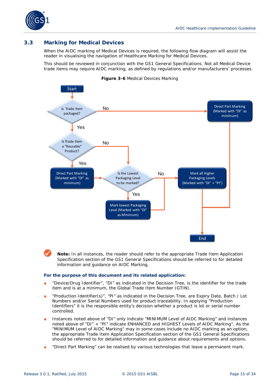

#### <span id="page-14-0"></span>**3.3 Marking for Medical Devices**

When the AIDC marking of Medical Devices is required, the following flow diagram will assist the reader in visualising the navigation of Healthcare Marking for Medical Devices.

This should be reviewed in conjunction with the *GS1 General Specifications*. Not all Medical Device trade items may require AIDC marking, as defined by regulations and/or manufacturers' processes.



#### **Figure 3-6** Medical Devices Marking

**Note:** In all instances, the reader should refer to the appropriate Trade Item Application Specification section of the *GS1 General Specification*s should be referred to for detailed information and guidance on AIDC Marking.

#### **For the purpose of this document and its related application:**

- "Device/Drug Identifier", "DI" as indicated in the Decision Tree, is the identifier for the trade item and is at a minimum, the Global Trade Item Number (GTIN).
- "Production Identifier(s)", "PI" as indicated in the Decision Tree, are Expiry Date, Batch / Lot Numbers and/or Serial Numbers used for product traceability. In applying "Production Identifiers" it is the responsible entity's decision whether a product is lot or serial number controlled.
- Instances noted above of "DI" only indicate "MINIMUM Level of AIDC Marking" and instances noted above of "DI" + "PI" indicate ENHANCED and HIGHEST Levels of AIDC Marking". As the "MINIMUM Level of AIDC Marking" may in some cases include no AIDC marking as an option, the appropriate Trade Item Application Specification section of the GS1 General Specifications should be referred to for detailed information and guidance about requirements and options.
- "Direct Part Marking" can be realised by various technologies that leave a permanent mark.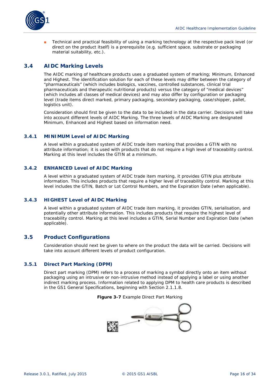

Technical and practical feasibility of using a marking technology at the respective pack level (or direct on the product itself) is a prerequisite (e.g. sufficient space, substrate or packaging material suitability, etc.).

#### <span id="page-15-0"></span>**3.4 AIDC Marking Levels**

The AIDC marking of healthcare products uses a graduated system of marking; Minimum, Enhanced and Highest. The identification solution for each of these levels may differ between the category of "pharmaceuticals" (which includes biologics, vaccines, controlled substances, clinical trial pharmaceuticals and therapeutic nutritional products) versus the category of "medical devices" (which includes all classes of medical devices) and may also differ by configuration or packaging level (trade items direct marked, primary packaging, secondary packaging, case/shipper, pallet, logistics unit).

Consideration should first be given to the data to be included in the data carrier. Decisions will take into account different levels of AIDC Marking. The three levels of AIDC Marking are designated Minimum, Enhanced and Highest based on information need.

#### <span id="page-15-1"></span>**3.4.1 MINIMUM Level of AIDC Marking**

A level within a graduated system of AIDC trade item marking that provides a GTIN with no attribute information; it is used with products that do not require a high level of traceability control. Marking at this level includes the GTIN at a minimum.

#### <span id="page-15-2"></span>**3.4.2 ENHANCED Level of AIDC Marking**

A level within a graduated system of AIDC trade item marking, it provides GTIN plus attribute information. This includes products that require a higher level of traceability control. Marking at this level includes the GTIN, Batch or Lot Control Numbers, and the Expiration Date (when applicable).

#### <span id="page-15-3"></span>**3.4.3 HIGHEST Level of AIDC Marking**

A level within a graduated system of AIDC trade item marking, it provides GTIN, serialisation, and potentially other attribute information. This includes products that require the highest level of traceability control. Marking at this level includes a GTIN, Serial Number and Expiration Date (when applicable).

#### <span id="page-15-4"></span>**3.5 Product Configurations**

Consideration should next be given to where on the product the data will be carried. Decisions will take into account different levels of product configuration.

#### <span id="page-15-5"></span>**3.5.1 Direct Part Marking (DPM)**

Direct part marking (DPM) refers to a process of marking a symbol directly onto an item without packaging using an intrusive or non-intrusive method instead of applying a label or using another indirect marking process. Information related to applying DPM to health care products is described in the GS1 General Specifications, beginning with Section 2.1.1.8.

#### **Figure 3-7** Example Direct Part Marking

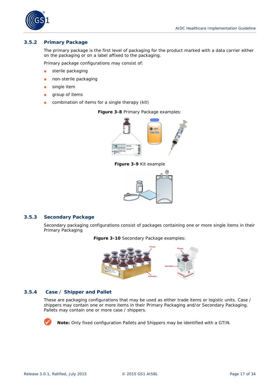

#### <span id="page-16-0"></span>**3.5.2 Primary Package**

The primary package is the first level of packaging for the product marked with a data carrier either on the packaging or on a label affixed to the packaging.

Primary package configurations may consist of:

- sterile packaging
- non-sterile packaging
- single item
- group of items
- combination of items for a single therapy (kit)

**Figure 3-8** Primary Package examples:



**Figure 3-9** Kit example



#### <span id="page-16-1"></span>**3.5.3 Secondary Package**

Secondary packaging configurations consist of packages containing one or more single items in their Primary Packaging

**Figure 3-10** Secondary Package examples:



#### **3.5.4 Case / Shipper and Pallet**

<span id="page-16-2"></span>These are packaging configurations that may be used as either trade items or logistic units. Case / shippers may contain one or more items in their Primary Packaging and/or Secondary Packaging. Pallets may contain one or more case / shippers.



**Note:** Only fixed configuration Pallets and Shippers may be identified with a GTIN.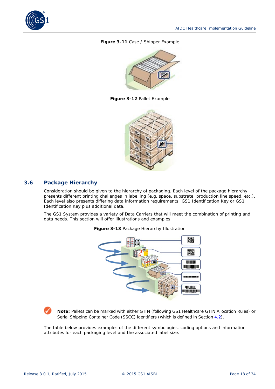

#### **Figure 3-11** Case / Shipper Example



**Figure 3-12** Pallet Example



#### <span id="page-17-0"></span>**3.6 Package Hierarchy**

Consideration should be given to the hierarchy of packaging. Each level of the package hierarchy presents different printing challenges in labelling (e.g. space, substrate, production line speed, etc.). Each level also presents differing data information requirements: GS1 Identification Key or GS1 Identification Key plus additional data.

The GS1 System provides a variety of Data Carriers that will meet the combination of printing and data needs. This section will offer illustrations and examples.



**Figure 3-13** Package Hierarchy Illustration

**Note:** Pallets can be marked with either GTIN (following *GS1 Healthcare GTIN Allocation Rules*) or Serial Shipping Container Code (SSCC) identifiers (which is defined in Section  $4.2$ ).

The table below provides examples of the different symbologies, coding options and information attributes for each packaging level and the associated label size.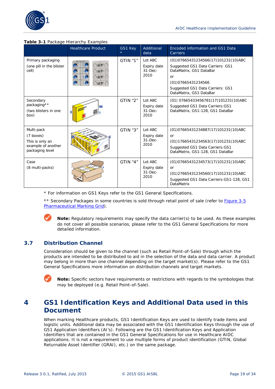

#### **Table 3-1** Package Hierarchy Examples

|                                                                                     | <b>Healthcare Product</b> | GS1 Key  | Additional<br>data                            | Encoded information and GS1 Data<br>Carriers                                                                                                                                                               |
|-------------------------------------------------------------------------------------|---------------------------|----------|-----------------------------------------------|------------------------------------------------------------------------------------------------------------------------------------------------------------------------------------------------------------|
| Primary packaging<br>(one pill in the blister<br>cell)                              | 開图<br>国图<br>国图门<br>图图(    | GTIN "1" | Lot ABC<br>Expiry date<br>$31$ -Dec-<br>2010  | (01) 07665431234566 (17) 101231 (10) ABC<br>Suggested GS1 Data Carriers: GS1<br>DataMatrix, GS1 DataBar<br><b>or</b><br>(01) 07665431234566<br>Suggested GS1 Data Carriers: GS1<br>DataMatrix, GS1 DataBar |
| Secondary<br>packaging**<br>(two blisters in one<br>box)                            |                           | GTIN "2" | Lot ABC<br>Expiry date<br>$31 - Dec-$<br>2010 | (01) 07665433456781(17)101231(10)ABC<br>Suggested GS1 Data Carriers: GS1<br>DataMatrix, GS1-128, GS1 DataBar                                                                                               |
| Multi-pack<br>(7 boxes)<br>This is only an<br>example of another<br>packaging level |                           | GTIN "3" | Lot ABC<br>Expiry date<br>$31 - Dec-$<br>2010 | (01)07665431234887(17)101231(10)ABC<br><b>or</b><br>(01)17665431234563(17)101231(10)ABC<br>Suggested GS1 Data Carriers: GS1<br>DataMatrix, GS1-128, GS1 DataBar                                            |
| Case<br>(8 multi-packs)                                                             |                           | GTIN "4" | Lot ABC<br>Expiry date<br>$31 - Dec-$<br>2010 | (01)07665431234573(17)101231(10)ABC<br>or<br>(01)27665431234560(17)101231(10)ABC<br>Suggested GS1 Data Carriers: GS1-128, GS1<br><b>DataMatrix</b>                                                         |

\* For information on GS1 Keys refer to the *GS1 General Specifications*.

\*\* Secondary Packages in some countries is sold through retail point of sale (refer to *Figure 3-5 Pharmaceutical Marking Grid*).

**Note:** Regulatory requirements may specify the data carrier(s) to be used. As these examples do not cover all possible scenarios, please refer to the *GS1 General Specifications* for more detailed information.

#### <span id="page-18-0"></span>**3.7 Distribution Channel**

Consideration should be given to the channel (such as Retail Point-of-Sale) through which the products are intended to be distributed to aid in the selection of the data and data carrier. A product may belong in more than one channel depending on the target market(s). Please refer to the *GS1 General Specifications* more information on distribution channels and target markets.



**Note:** Specific sectors have requirements or restrictions with regards to the symbologies that may be deployed (e.g. Retail Point-of-Sale).

### <span id="page-18-1"></span>**4 GS1 Identification Keys and Additional Data used in this Document**

When marking Healthcare products, GS1 Identification Keys are used to identify trade items and logistic units. Additional data may be associated with the GS1 Identification Keys through the use of GS1 Application Identifiers (AI's). Following are the GS1 Identification Keys and Application Identifiers that are contained in the *GS1 General Specifications* for use in Healthcare AIDC applications. It is not a requirement to use multiple forms of product identification (GTIN, Global Returnable Asset Identifier (GRAI), etc.) on the same package.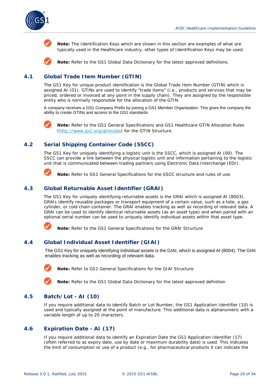

**Note:** The Identification Keys which are shown in this section are examples of what are typically used in the Healthcare industry, other types of Identification Keys may be used.

**Note:** Refer to the GS1 Global Data Dictionary for the latest approved definitions.

#### <span id="page-19-0"></span>**4.1 Global Trade Item Number (GTIN)**

The GS1 Key for unique product identification is the Global Trade Item Number (GTIN) which is assigned AI (01). GTINs are used to identify "trade items" (i.e., products and services that may be priced, ordered or invoiced at any point in the supply chain). They are assigned by the responsible entity who is normally responsible for the allocation of the GTIN.

A company receives a GS1 Company Prefix by joining a GS1 Member Organisation. This gives the company the ability to create GTINs and access to the GS1 standards.



**Note:** Refer to the *GS1 General Specification*s and *GS1 Healthcare GTIN Allocation Rules* (*[http://www.gs1.org/gtinrules](http://www.gs1.org/1/gtinrules/admin.php/p=static/t=healthcare)*) for the GTIN Structure.

#### <span id="page-19-1"></span>**4.2 Serial Shipping Container Code (SSCC)**

The GS1 Key for uniquely identifying a logistic unit is the SSCC, which is assigned AI (00). The SSCC can provide a link between the physical logistic unit and information pertaining to the logistic unit that is communicated between trading partners using Electronic Data Interchange (EDI).



**Note:** Refer to *GS1 General Specifications* for the SSCC structure and rules of use.

#### <span id="page-19-2"></span>**4.3 Global Returnable Asset Identifier (GRAI)**

The GS1 Key for uniquely identifying returnable assets is the GRAI which is assigned AI (8003). GRAIs identify reusable packages or transport equipment of a certain value, such as a tote, a gas cylinder, or cold chain container. The GRAI enables tracking as well as recording of relevant data. A GRAI can be used to identify identical returnable assets (as an asset type) and when paired with an optional serial number can be used to uniquely identify individual assets within that asset type.



**Note:** Refer to the *GS1 General Specifications* for the GRAI Structure

#### <span id="page-19-3"></span>**4.4 Global Individual Asset Identifier (GIAI)**

The GS1 Key for uniquely identifying individual assets is the GIAI, which is assigned AI (8004). The GIAI enables tracking as well as recording of relevant data.

**Note:** Refer to *GS1 General Specifications* for the GIAI Structure

**Note:** Refer to the GS1 Global Data Dictionary for the latest approved definition

#### <span id="page-19-4"></span>**4.5 Batch/Lot - AI (10)**

If you require additional data to identify Batch or Lot Number, the GS1 Application Identifier (10) is used and typically assigned at the point of manufacture. This additional data is alphanumeric with a variable length of up to 20 characters.

#### <span id="page-19-5"></span>**4.6 Expiration Date - AI (17)**

If you require additional data to identify an Expiration Date the GS1 Application Identifier (17) (often referred to as expiry date, use by date or maximum durability date) is used. This indicates the limit of consumption or use of a product (e.g., for pharmaceutical products it can indicate the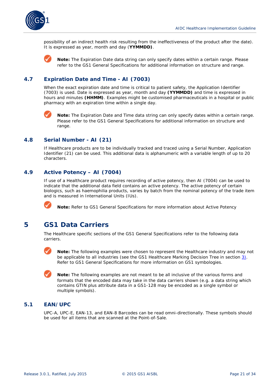

possibility of an indirect health risk resulting from the ineffectiveness of the product after the date). It is expressed as year, month and day (**YYMMDD)**.

**Note:** The Expiration Date data string can only specify dates within a certain range. Please refer to the *GS1 General Specifications* for additional information on structure and range.

#### <span id="page-20-0"></span>**4.7 Expiration Date and Time - AI (7003)**

When the exact expiration date and time is critical to patient safety, the Application Identifier (7003) is used. Date is expressed as year, month and day **(YYMMDD)** and time is expressed in hours and minutes **(HHMM)**. Examples might be customised pharmaceuticals in a hospital or public pharmacy with an expiration time within a single day.



**Note:** The Expiration Date and Time data string can only specify dates within a certain range. Please refer to the *GS1 General Specifications* for additional information on structure and range.

#### <span id="page-20-1"></span>**4.8 Serial Number - AI (21)**

If Healthcare products are to be individually tracked and traced using a Serial Number, Application Identifier (21) can be used. This additional data is alphanumeric with a variable length of up to 20 characters.

#### <span id="page-20-2"></span>**4.9 Active Potency – AI (7004)**

If use of a Healthcare product requires recording of active potency, then AI (7004) can be used to indicate that the additional data field contains an active potency. The active potency of certain biologics, such as haemophilia products, varies by batch from the nominal potency of the trade item and is measured in International Units (IUs).



**Note:** Refer to *GS1 General Specifications* for more information about Active Potency

### <span id="page-20-3"></span>**5 GS1 Data Carriers**

The Healthcare specific sections of the *GS1 General Specifications* refer to the following data carriers.



**Note:** The following examples were chosen to represent the Healthcare industry and may not be applicable to all industries (see the GS1 Healthcare Marking Decision Tree in section [3\)](#page-9-1). Refer to *GS1 General Specifications* for more information on GS1 symbologies.

**Note:** The following examples are not meant to be all inclusive of the various forms and formats that the encoded data may take in the data carriers shown (e.g. a data string which contains GTIN plus attribute data in a GS1-128 may be encoded as a single symbol or multiple symbols).

#### <span id="page-20-4"></span>**5.1 EAN/UPC**

UPC-A, UPC-E, EAN-13, and EAN-8 Barcodes can be read omni-directionally. These symbols should be used for all items that are scanned at the Point-of-Sale.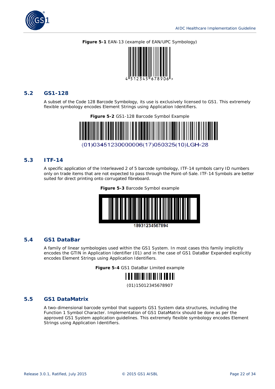

#### **Figure 5-1** EAN-13 (example of EAN/UPC Symbology)



#### <span id="page-21-0"></span>**5.2 GS1-128**

A subset of the Code 128 Barcode Symbology, its use is exclusively licensed to GS1. This extremely flexible symbology encodes Element Strings using Application Identifiers.



#### <span id="page-21-1"></span>**5.3 ITF-14**

A specific application of the Interleaved 2 of 5 barcode symbology, ITF-14 symbols carry ID numbers only on trade items that are not expected to pass through the Point-of-Sale. ITF-14 Symbols are better suited for direct printing onto corrugated fibreboard.

**Figure 5-3** Barcode Symbol example



18931234567894

#### <span id="page-21-2"></span>**5.4 GS1 DataBar**

A family of linear symbologies used within the GS1 System. In most cases this family implicitly encodes the GTIN in Application Identifier (01) and in the case of GS1 DataBar Expanded explicitly encodes Element Strings using Application Identifiers.

**Figure 5-4** GS1 DataBar Limited example



(01)15012345678907

#### <span id="page-21-3"></span>**5.5 GS1 DataMatrix**

A two-dimensional barcode symbol that supports GS1 System data structures, including the Function 1 Symbol Character. Implementation of GS1 DataMatrix should be done as per the approved GS1 System application guidelines. This extremely flexible symbology encodes Element Strings using Application Identifiers.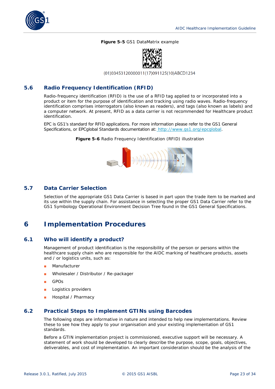

#### **Figure 5-5** GS1 DataMatrix example



(01)03453120000011(17)091125(10)ABCD1234

#### <span id="page-22-0"></span>**5.6 Radio Frequency Identification (RFID)**

Radio-frequency identification (RFID) is the use of a RFID tag applied to or incorporated into a product or item for the purpose of identification and tracking using radio waves. Radio-frequency identification comprises interrogators (also known as readers), and tags (also known as labels) and a computer network. At present, RFID as a data carrier is not recommended for Healthcare product identification.

EPC is GS1's standard for RFID applications. For more information please refer to the *GS1 General Specifications*, or EPCglobal Standards documentation at: *<http://www.gs1.org/epcglobal>*.

**Figure 5-6** Radio Frequency Identification (RFID) illustration



#### <span id="page-22-1"></span>**5.7 Data Carrier Selection**

Selection of the appropriate GS1 Data Carrier is based in part upon the trade item to be marked and its use within the supply chain. For assistance in selecting the proper GS1 Data Carrier refer to the *GS1 Symbology Operational Environment Decision Tree* found in the *GS1 General Specifications*.

### <span id="page-22-2"></span>**6 Implementation Procedures**

#### <span id="page-22-3"></span>**6.1 Who will identify a product?**

Management of product identification is the responsibility of the person or persons within the healthcare supply chain who are responsible for the AIDC marking of healthcare products, assets and / or logistics units, such as:

- **Manufacturer**
- Wholesaler / Distributor / Re-packager
- GPOs
- Logistics providers
- Hospital / Pharmacy

#### <span id="page-22-4"></span>**6.2 Practical Steps to Implement GTINs using Barcodes**

The following steps are informative in nature and intended to help new implementations. Review these to see how they apply to your organisation and your existing implementation of GS1 standards.

Before a GTIN implementation project is commissioned, executive support will be necessary. A statement of work should be developed to clearly describe the purpose, scope, goals, objectives, deliverables, and cost of implementation. An important consideration should be the analysis of the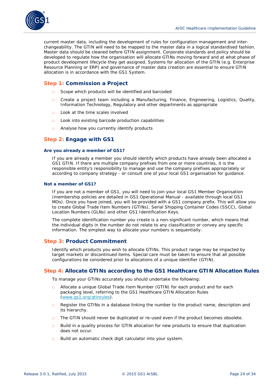

current master data, including the development of rules for configuration management and interchangeability. The GTIN will need to be mapped to the master data in a logical standardised fashion. Master data should be cleaned before GTIN assignment. Corporate standards and policy should be developed to regulate how the organisation will allocate GTINs moving forward and at what phase of product development lifecycle they get assigned. Systems for allocation of the GTIN (e.g. Enterprise Resource Planning or ERP) and governance of master data creation are essential to ensure GTIN allocation is in accordance with the GS1 System.

#### **Step 1: Commission a Project**

- □ Scope which products will be identified and barcoded
- □ Create a project team including a Manufacturing, Finance, Engineering, Logistics, Quality, Information Technology, Regulatory and other departments as appropriate
- □ Look at the time scales involved
- □ Look into existing barcode production capabilities
- Analyse how you currently identify products

#### **Step 2: Engage with GS1**

#### **Are you already a member of GS1?**

If you are already a member you should identify which products have already been allocated a GS1 GTIN. If there are multiple company prefixes from one or more countries, it is the responsible entity's responsibility to manage and use the company prefixes appropriately or according to company strategy - or consult one of your local GS1 organisation for guidance.

#### **Not a member of GS1?**

If you are not a member of GS1, you will need to join your local GS1 Member Organisation (membership policies are detailed in *GS1 Operational Manual* - available through local GS1 MOs). Once you have joined, you will be provided with a GS1 company prefix. This will allow you to create Global Trade Item Numbers (GTINs), Serial Shipping Container Codes (SSCC), Global Location Numbers (GLNs) and other GS1 Identification Keys.

The complete identification number you create is a non-significant number, which means that the individual digits in the number do not relate to any classification or convey any specific information. The simplest way to allocate your numbers is sequentially.

#### **Step 3: Product Commitment**

Identify which products you wish to allocate GTINs. This product range may be impacted by target markets or discontinued items. Special care must be taken to ensure that all possible configurations be considered prior to allocations of a unique identifier (GTIN).

#### **Step 4: Allocate GTINs according to the GS1 Healthcare GTIN Allocation Rules**

To manage your GTINs accurately you should undertake the following:

- □ Allocate a unique Global Trade Item Number (GTIN) for each product and for each packaging level, referring to the *GS1 Healthcare GTIN Allocation Rules* (*[www.gs1.org/gtinrules](http://www.gs1.org/gtinrules)*).
- □ Register the GTINs in a database linking the number to the product name, description and its hierarchy.
- $\Box$  The GTIN should never be duplicated or re-used even if the product becomes obsolete.
- □ Build in a quality process for GTIN allocation for new products to ensure that duplication does not occur.
- □ Build an automatic check digit calculator into your system.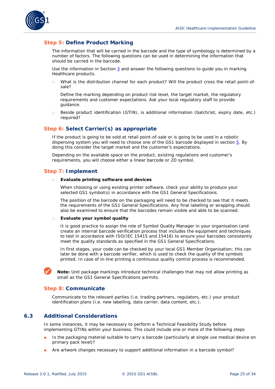

#### **Step 5: Define Product Marking**

The information that will be carried in the barcode and the type of symbology is determined by a number of factors. The following questions can be used in determining the information that should be carried in the barcode.

Use the information in Section [3](#page-9-1) and answer the following questions to guide you in marking Healthcare products.

What is the distribution channel for each product? Will the product cross the retail point-ofsale?

Define the marking depending on product risk level, the target market, the regulatory requirements and customer expectations. Ask your local regulatory staff to provide guidance.

□ Beside product identification (GTIN), is additional information (batch/lot, expiry date, etc.) required?

#### **Step 6: Select Carrier(s) as appropriate**

If the product is going to be sold at retail point-of-sale or is going to be used in a robotic dispensing system you will need to choose one of the GS1 barcode displayed in section  $5.$  By doing this consider the target market and the customer's expectations.

Depending on the available space on the product, existing regulations and customer's requirements, you will choose either a linear barcode or 2D symbol.

#### **Step 7: Implement**

#### □ **Evaluate printing software and devices**

When choosing or using existing printer software, check your ability to produce your selected GS1 symbol(s) in accordance with the *GS1 General Specifications*.

The position of the barcode on the packaging will need to be checked to see that it meets the requirements of the *GS1 General Specifications*. Any final labelling or wrapping should also be examined to ensure that the barcodes remain visible and able to be scanned.

#### □ **Evaluate your symbol quality**

It is good practice to assign the role of Symbol Quality Manager in your organisation (and create an internal barcode verification process that includes the equipment and techniques to test in accordance with ISO/IEC 15415 and 15416) to ensure your barcodes consistently meet the quality standards as specified in the *GS1 General Specifications*.

In first stages, your code can be checked by your local GS1 Member Organisation; this can later be done with a barcode verifier, which is used to check the quality of the symbols printed. In case of in-line printing a continuous quality control process is recommended.

**Note:** Unit package markings introduce technical challenges that may not allow printing as small as the *GS1 General Specifications* permits.

#### **Step 8: Communicate**

Communicate to the relevant parties (i.e. trading partners, regulators, etc.) your product identification plans (i.e. new labelling, data carrier, data content, etc.).

#### <span id="page-24-0"></span>**6.3 Additional Considerations**

In some instances, it may be necessary to perform a Technical Feasibility Study before implementing GTINs within your business. This could include one or more of the following steps

- Is the packaging material suitable to carry a barcode (particularly at single use medical device on primary pack level)?
- Are artwork changes necessary to support additional information in a barcode symbol?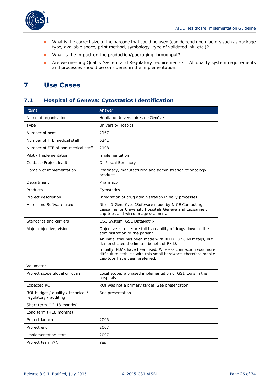

- What is the correct size of the barcode that could be used (can depend upon factors such as package type, available space, print method, symbology, type of validated ink, etc.)?
- What is the impact on the production/packaging throughput?
- Are we meeting Quality System and Regulatory requirements? All quality system requirements and processes should be considered in the implementation.

### <span id="page-25-0"></span>**7 Use Cases**

### <span id="page-25-1"></span>**7.1 Hospital of Geneva: Cytostatics Identification**

| <b>Items</b>                                                | Answer                                                                                                                                                                                                                                                                                                                                                                             |
|-------------------------------------------------------------|------------------------------------------------------------------------------------------------------------------------------------------------------------------------------------------------------------------------------------------------------------------------------------------------------------------------------------------------------------------------------------|
| Name of organisation                                        | Hôpitaux Universitaires de Genève                                                                                                                                                                                                                                                                                                                                                  |
| Type                                                        | University Hospital                                                                                                                                                                                                                                                                                                                                                                |
| Number of beds                                              | 2167                                                                                                                                                                                                                                                                                                                                                                               |
| Number of FTE medical staff                                 | 6241                                                                                                                                                                                                                                                                                                                                                                               |
| Number of FTE of non-medical staff                          | 2108                                                                                                                                                                                                                                                                                                                                                                               |
| Pilot / Implementation                                      | Implementation                                                                                                                                                                                                                                                                                                                                                                     |
| Contact (Project lead)                                      | Dr Pascal Bonnabry                                                                                                                                                                                                                                                                                                                                                                 |
| Domain of implementation                                    | Pharmacy, manufacturing and administration of oncology<br>products                                                                                                                                                                                                                                                                                                                 |
| Department                                                  | Pharmacy                                                                                                                                                                                                                                                                                                                                                                           |
| Products                                                    | Cytostatics                                                                                                                                                                                                                                                                                                                                                                        |
| Project description                                         | Integration of drug administration in daily processes                                                                                                                                                                                                                                                                                                                              |
| Hard- and Software used                                     | Nice ID-Gen, Cyto (Software made by NICE Computing,<br>Lausanne for University Hospitals Geneva and Lausanne).<br>Lap-tops and wired image scanners.                                                                                                                                                                                                                               |
| Standards and carriers                                      | GS1 System, GS1 DataMatrix                                                                                                                                                                                                                                                                                                                                                         |
| Major objective, vision                                     | Objective is to secure full traceability of drugs down to the<br>administration to the patient.<br>An initial trial has been made with RFID 13.56 MHz tags, but<br>demonstrated the limited benefit of RFID.<br>Initially, PDAs have been used. Wireless connection was more<br>difficult to stabilise with this small hardware, therefore mobile<br>Lap-tops have been preferred. |
| Volumetric                                                  |                                                                                                                                                                                                                                                                                                                                                                                    |
| Project scope global or local?                              | Local scope; a phased implementation of GS1 tools in the<br>hospitals.                                                                                                                                                                                                                                                                                                             |
| Expected ROI                                                | ROI was not a primary target. See presentation.                                                                                                                                                                                                                                                                                                                                    |
| ROI budget / quality / technical /<br>regulatory / auditing | See presentation                                                                                                                                                                                                                                                                                                                                                                   |
| Short term (12-18 months)                                   |                                                                                                                                                                                                                                                                                                                                                                                    |
| Long term $(+18$ months)                                    |                                                                                                                                                                                                                                                                                                                                                                                    |
| Project launch                                              | 2005                                                                                                                                                                                                                                                                                                                                                                               |
| Project end                                                 | 2007                                                                                                                                                                                                                                                                                                                                                                               |
| Implementation start                                        | 2007                                                                                                                                                                                                                                                                                                                                                                               |
| Project team Y/N                                            | Yes                                                                                                                                                                                                                                                                                                                                                                                |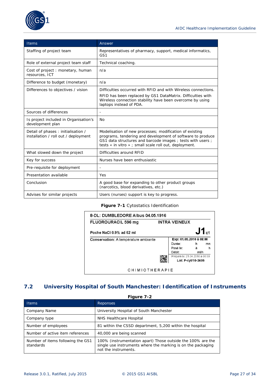

| <b>Items</b>                                                               | Answer                                                                                                                                                                                                                                       |  |  |
|----------------------------------------------------------------------------|----------------------------------------------------------------------------------------------------------------------------------------------------------------------------------------------------------------------------------------------|--|--|
| Staffing of project team                                                   | Representatives of pharmacy, support, medical informatics,<br>GS1                                                                                                                                                                            |  |  |
| Role of external project team staff                                        | Technical coaching.                                                                                                                                                                                                                          |  |  |
| Cost of project : monetary, human<br>resources, ICT                        | n/a                                                                                                                                                                                                                                          |  |  |
| Difference to budget (monetary)                                            | n/a                                                                                                                                                                                                                                          |  |  |
| Differences to objectives / vision                                         | Difficulties occurred with RFID and with Wireless connections.                                                                                                                                                                               |  |  |
|                                                                            | RFID has been replaced by GS1 DataMatrix. Difficulties with<br>Wireless connection stability have been overcome by using<br>laptops instead of PDA.                                                                                          |  |  |
| Sources of differences                                                     | $\overline{\phantom{a}}$                                                                                                                                                                                                                     |  |  |
| Is project included in Organisation's<br>development plan                  | N <sub>O</sub>                                                                                                                                                                                                                               |  |  |
| Detail of phases: initialisation /<br>installation / roll out / deployment | Modelisation of new processes; modification of existing<br>programs, tendering and development of software to produce<br>GS1 data structures and barcode images; tests with users;<br>tests « in vitro » ; small scale roll out, deployment. |  |  |
| What slowed down the project                                               | Difficulties around RFID                                                                                                                                                                                                                     |  |  |
| Key for success                                                            | Nurses have been enthusiastic                                                                                                                                                                                                                |  |  |
| Pre-requisite for deployment                                               |                                                                                                                                                                                                                                              |  |  |
| Presentation available                                                     | Yes                                                                                                                                                                                                                                          |  |  |
| Conclusion                                                                 | A good base for expanding to other product groups<br>(narcotics, blood derivatives, etc.)                                                                                                                                                    |  |  |
| Advises for similar projects                                               | Users (nurses) support is key to progress.                                                                                                                                                                                                   |  |  |

#### **Figure 7-1** Cytostatics Identification

| <b>FLUOROURACIL 596 mg</b>           |  | <b>INTRA VEINEUX</b>           |      |                                    |
|--------------------------------------|--|--------------------------------|------|------------------------------------|
| Poche NaCl 0.9% ad 62 ml             |  |                                |      | $\mathbf{J1}_{\textrm{\tiny{c1}}}$ |
| Conservation: A température ambiante |  | Exp: 01.05.2010 à 08:00        |      |                                    |
|                                      |  | Durée:                         | h    | mn                                 |
|                                      |  | Posé le:                       | à    | h                                  |
|                                      |  | Débit:                         | ml/h |                                    |
|                                      |  | Préparé le: 21.04.2010 à 08:00 |      |                                    |
|                                      |  | Lot: F-cyt/10-3406             |      |                                    |

### <span id="page-26-0"></span>**7.2 University Hospital of South Manchester: Identification of Instruments**

**Figure 7-2**

| <b>Items</b>                                   | <b>Reponses</b>                                                                                                                                     |
|------------------------------------------------|-----------------------------------------------------------------------------------------------------------------------------------------------------|
| Company Name                                   | University Hospital of South Manchester                                                                                                             |
| Company type                                   | NHS Healthcare Hospital                                                                                                                             |
| Number of employees                            | 81 within the CSSD department, 5,200 within the hospital                                                                                            |
| Number of active item references               | 40,000 are being scanned                                                                                                                            |
| Number of items following the GS1<br>standards | 100% (instrumentation apart) Those outside the 100% are the<br>single use instruments where the marking is on the packaging<br>not the instruments. |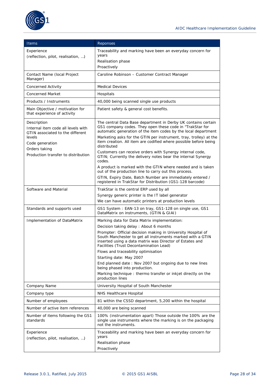

| <b>Items</b>                                                           | Reponses                                                                                                                                                          |
|------------------------------------------------------------------------|-------------------------------------------------------------------------------------------------------------------------------------------------------------------|
| Experience                                                             | Traceability and marking have been an everyday concern for                                                                                                        |
| (reflection, pilot, realisation, )                                     | years                                                                                                                                                             |
|                                                                        | Realisation phase<br>Proactively                                                                                                                                  |
| Contact Name (local Project                                            | Caroline Robinson - Customer Contract Manager                                                                                                                     |
| Manager)                                                               |                                                                                                                                                                   |
| <b>Concerned Activity</b>                                              | <b>Medical Devices</b>                                                                                                                                            |
| <b>Concerned Market</b>                                                | Hospitals                                                                                                                                                         |
| Products / Instruments                                                 | 40,000 being scanned single use products                                                                                                                          |
| Main Objective / motivation for<br>that experience of activity         | Patient safety & general cost benefits.                                                                                                                           |
| Description                                                            | The central Data Base department in Derby UK contains certain                                                                                                     |
| Internal item code all levels with<br>GTIN associated to the different | GS1 company codes. They open these code in "TrakStar for<br>automatic generation of the item codes by the local department                                        |
| levels                                                                 | Marketing asks for the GTIN per instrument, tray, trolley) at the                                                                                                 |
| Code generation                                                        | item creation. All item are codified where possible before being<br>distributed                                                                                   |
| Orders taking<br>Production transfer to distribution                   | Customers can receive orders with Synergy internal code,                                                                                                          |
|                                                                        | GTIN; Currently the delivery notes bear the internal Synergy<br>codes.                                                                                            |
|                                                                        | A product is marked with the GTIN where needed and is taken<br>out of the production line to carry out this process.                                              |
|                                                                        | GTIN, Expiry Date, Batch Number are immediately entered /<br>registered in TrakStar for Distribution (GS1-128 barcode)                                            |
| Software and Material                                                  | TrakStar is the central ERP used by all                                                                                                                           |
|                                                                        | Synergy generic printer is the IT label generator                                                                                                                 |
|                                                                        | We can have automatic printers at production levels                                                                                                               |
| Standards and supports used                                            | GS1 System: EAN-13 on tray, GS1-128 on single use, GS1<br>DataMatrix on instruments, (GTIN & GIAI)                                                                |
| Implementation of DataMatrix                                           | Marking data for Data Matrix implementation:                                                                                                                      |
|                                                                        | Decision taking delay : About 6 months<br>Prompter: Official decision making in University Hospital of                                                            |
|                                                                        | South Manchester to get all instruments marked with a GTIN<br>inserted using a data matrix was Director of Estates and<br>Facilities (Trust Decontamination Lead) |
|                                                                        | Flows and traceability optimisation                                                                                                                               |
|                                                                        | Starting date: May 2007                                                                                                                                           |
|                                                                        | End planned date: Nov 2007 but ongoing due to new lines<br>being phased into production.                                                                          |
|                                                                        | Marking technique : thermo transfer or inkjet directly on the<br>production lines                                                                                 |
| Company Name                                                           | University Hospital of South Manchester                                                                                                                           |
| Company type                                                           | NHS Healthcare Hospital                                                                                                                                           |
| Number of employees                                                    | 81 within the CSSD department, 5,200 within the hospital                                                                                                          |
| Number of active item references                                       | 40,000 are being scanned                                                                                                                                          |
| Number of items following the GS1<br>standards                         | 100% (instrumentation apart) Those outside the 100% are the<br>single use instruments where the marking is on the packaging<br>not the instruments.               |
| Experience                                                             | Traceability and marking have been an everyday concern for                                                                                                        |
| (reflection, pilot, realisation, )                                     | years<br>Realisation phase                                                                                                                                        |
|                                                                        | Proactively                                                                                                                                                       |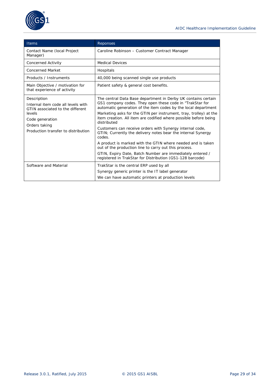

| <b>Items</b>                                                                                                                                                               | Reponses                                                                                                                                                                                                                                                                                                                                                                                                                                                                                                                                                                                                                                                                                                                                    |
|----------------------------------------------------------------------------------------------------------------------------------------------------------------------------|---------------------------------------------------------------------------------------------------------------------------------------------------------------------------------------------------------------------------------------------------------------------------------------------------------------------------------------------------------------------------------------------------------------------------------------------------------------------------------------------------------------------------------------------------------------------------------------------------------------------------------------------------------------------------------------------------------------------------------------------|
| Contact Name (local Project<br>Manager)                                                                                                                                    | Caroline Robinson - Customer Contract Manager                                                                                                                                                                                                                                                                                                                                                                                                                                                                                                                                                                                                                                                                                               |
| Concerned Activity                                                                                                                                                         | <b>Medical Devices</b>                                                                                                                                                                                                                                                                                                                                                                                                                                                                                                                                                                                                                                                                                                                      |
| <b>Concerned Market</b>                                                                                                                                                    | Hospitals                                                                                                                                                                                                                                                                                                                                                                                                                                                                                                                                                                                                                                                                                                                                   |
| Products / Instruments                                                                                                                                                     | 40,000 being scanned single use products                                                                                                                                                                                                                                                                                                                                                                                                                                                                                                                                                                                                                                                                                                    |
| Main Objective / motivation for<br>that experience of activity                                                                                                             | Patient safety & general cost benefits.                                                                                                                                                                                                                                                                                                                                                                                                                                                                                                                                                                                                                                                                                                     |
| Description<br>Internal item code all levels with<br>GTIN associated to the different<br>levels<br>Code generation<br>Orders taking<br>Production transfer to distribution | The central Data Base department in Derby UK contains certain<br>GS1 company codes. They open these code in "TrakStar for<br>automatic generation of the item codes by the local department<br>Marketing asks for the GTIN per instrument, tray, trolley) at the<br>item creation. All item are codified where possible before being<br>distributed<br>Customers can receive orders with Synergy internal code,<br>GTIN; Currently the delivery notes bear the internal Synergy<br>codes.<br>A product is marked with the GTIN where needed and is taken<br>out of the production line to carry out this process.<br>GTIN, Expiry Date, Batch Number are immediately entered /<br>registered in TrakStar for Distribution (GS1-128 barcode) |
| Software and Material                                                                                                                                                      | TrakStar is the central ERP used by all<br>Synergy generic printer is the IT label generator<br>We can have automatic printers at production levels                                                                                                                                                                                                                                                                                                                                                                                                                                                                                                                                                                                         |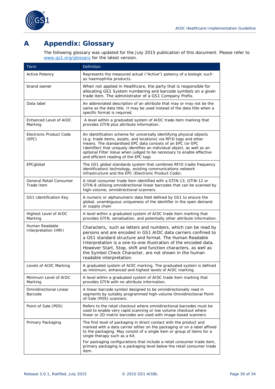

### <span id="page-29-0"></span>**A Appendix: Glossary**

The following glossary was updated for the July 2015 publication of this document. Please refer to *[www.gs1.org/glossary](http://www.gs1.org/glossary)* for the latest version.

| Term                                         | Definition                                                                                                                                                                                                                                                                                                                                                                                                            |
|----------------------------------------------|-----------------------------------------------------------------------------------------------------------------------------------------------------------------------------------------------------------------------------------------------------------------------------------------------------------------------------------------------------------------------------------------------------------------------|
| <b>Active Potency</b>                        | Represents the measured actual ("Active") potency of a biologic such<br>as haemophilia products.                                                                                                                                                                                                                                                                                                                      |
| brand owner                                  | When not applied in Healthcare, the party that is responsible for<br>allocating GS1 System numbering and barcode symbols on a given<br>trade item. The administrator of a GS1 Company Prefix.                                                                                                                                                                                                                         |
| Data label                                   | An abbreviated description of an attribute that may or may not be the<br>same as the data title. It may be used instead of the data title when a<br>specific format is required.                                                                                                                                                                                                                                      |
| Enhanced Level of AIDC<br>Marking            | A level within a graduated system of AIDC trade item marking that<br>provides GTIN plus attribute information.                                                                                                                                                                                                                                                                                                        |
| Electronic Product Code<br>(EPC)             | An identification scheme for universally identifying physical objects<br>(e.g. trade items, assets, and locations) via RFID tags and other<br>means. The standardised EPC data consists of an EPC (or EPC<br>Identifier) that uniquely identifies an individual object, as well as an<br>optional Filter Value when judged to be necessary to enable effective<br>and efficient reading of the EPC tags               |
| EPCglobal                                    | The GS1 global standards system that combines RFID (radio frequency<br>identification) technology, existing communications network<br>infrastructure and the EPC (Electronic Product Code).                                                                                                                                                                                                                           |
| <b>General Retail Consumer</b><br>Trade Item | A retail consumer trade item identified with a GTIN-13, GTIN-12 or<br>GTIN-8 utilising omnidirectional linear barcodes that can be scanned by<br>high-volume, omnidirectional scanners.                                                                                                                                                                                                                               |
| GS1 Identification Key                       | A numeric or alphanumeric data field defined by GS1 to ensure the<br>global, unambiguous uniqueness of the identifier in the open demand<br>or supply chain                                                                                                                                                                                                                                                           |
| <b>Highest Level of AIDC</b><br>Marking      | A level within a graduated system of AIDC trade item marking that<br>provides GTIN, serialisation, and potentially other attribute information.                                                                                                                                                                                                                                                                       |
| Human Readable<br>Interpretation (HRI)       | Characters, such as letters and numbers, which can be read by<br>persons and are encoded in GS1 AIDC data carriers confined to<br>a GS1 standard structure and format. The Human Readable<br>Interpretation is a one-to-one illustration of the encoded data.<br>However Start, Stop, shift and function characters, as well as<br>the Symbol Check Character, are not shown in the human<br>readable interpretation. |
| Levels of AIDC Marking                       | A graduated system of AIDC marking. The graduated system is defined<br>as minimum, enhanced and highest levels of AIDC marking.                                                                                                                                                                                                                                                                                       |
| Minimum Level of AIDC<br>Marking             | A level within a graduated system of AIDC trade item marking that<br>provides GTIN with no attribute information.                                                                                                                                                                                                                                                                                                     |
| <b>Omnidirectional Linear</b><br>Barcode     | A linear barcode symbol designed to be omnidirectionally read in<br>segments by suitably programmed high-volume Omnidirectional Point-<br>of-Sale (POS) scanners.                                                                                                                                                                                                                                                     |
| Point-of Sale (POS)                          | Refers to the retail checkout where omnidirectional barcodes must be<br>used to enable very rapid scanning or low volume checkout where<br>linear or 2D matrix barcodes are used with image-based scanners.                                                                                                                                                                                                           |
| Primary Packaging                            | The first level of packaging in direct contact with the product and<br>marked with a data carrier either on the packaging or on a label affixed<br>to the packaging. May consist of a single item or group of items for a<br>single therapy such as a Kit.                                                                                                                                                            |
|                                              | For packaging configurations that include a retail consumer trade item,<br>primary packaging is a packaging level below the retail consumer trade<br>item.                                                                                                                                                                                                                                                            |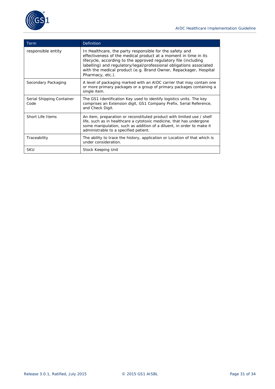

| Term                              | Definition                                                                                                                                                                                                                                                                                                                                                   |
|-----------------------------------|--------------------------------------------------------------------------------------------------------------------------------------------------------------------------------------------------------------------------------------------------------------------------------------------------------------------------------------------------------------|
| responsible entity                | In Healthcare, the party responsible for the safety and<br>effectiveness of the medical product at a moment in time in its<br>lifecycle, according to the approved regulatory file (including<br>labelling) and regulatory/legal/professional obligations associated<br>with the medical product (e.g. Brand Owner, Repackager, Hospital<br>Pharmacy, etc.). |
| Secondary Packaging               | A level of packaging marked with an AIDC carrier that may contain one<br>or more primary packages or a group of primary packages containing a<br>single item.                                                                                                                                                                                                |
| Serial Shipping Container<br>Code | The GS1 Identification Key used to identify logistics units. The key<br>comprises an Extension digit, GS1 Company Prefix, Serial Reference,<br>and Check Digit.                                                                                                                                                                                              |
| Short Life Items                  | An item, preparation or reconstituted product with limited use / shelf<br>life, such as in healthcare a cytotoxic medicine, that has undergone<br>some manipulation, such as addition of a diluent, in order to make it<br>administrable to a specified patient.                                                                                             |
| Traceability                      | The ability to trace the history, application or Location of that which is<br>under consideration.                                                                                                                                                                                                                                                           |
| <b>SKU</b>                        | Stock Keeping Unit                                                                                                                                                                                                                                                                                                                                           |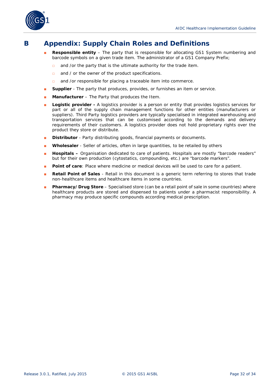

### <span id="page-31-0"></span>**B Appendix: Supply Chain Roles and Definitions**

- **Responsible entity** The party that is responsible for allocating GS1 System numbering and barcode symbols on a given trade item. The administrator of a GS1 Company Prefix;
	- □ and /or the party that is the ultimate authority for the trade item.
	- □ and / or the owner of the product specifications.
	- □ and /or responsible for placing a traceable item into commerce.
- **Bupplier** The party that produces, provides, or furnishes an item or service.
- **Manufacturer** The Party that produces the Item.
- **Logistic provider -** A logistics provider is a person or entity that provides logistics services for part or all of the supply chain management functions for other entities (manufacturers or suppliers). Third Party logistics providers are typically specialised in integrated warehousing and transportation services that can be customised according to the demands and delivery requirements of their customers. A logistics provider does not hold proprietary rights over the product they store or distribute.
- **Bistributor** Party distributing goods, financial payments or documents.
- **Wholesaler** Seller of articles, often in large quantities, to be retailed by others
- **Hospitals –** Organisation dedicated to care of patients. Hospitals are mostly "barcode readers" but for their own production (cytostatics, compounding, etc.) are "barcode markers".
- **Point of care:** Place where medicine or medical devices will be used to care for a patient.
- **Retail Point of Sales** Retail in this document is a generic term referring to stores that trade non-healthcare items and healthcare items in some countries.
- Pharmacy/Drug Store Specialised store (can be a retail point of sale in some countries) where healthcare products are stored and dispensed to patients under a pharmacist responsibility. A pharmacy may produce specific compounds according medical prescription.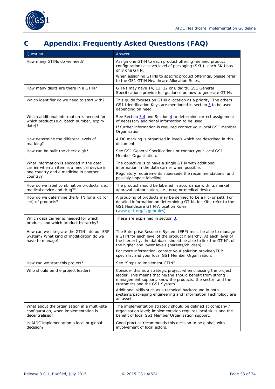

## <span id="page-32-0"></span>**C Appendix: Frequently Asked Questions (FAQ)**

| Question                                                                                                                                    | Answer                                                                                                                                                                                                                                                 |
|---------------------------------------------------------------------------------------------------------------------------------------------|--------------------------------------------------------------------------------------------------------------------------------------------------------------------------------------------------------------------------------------------------------|
| How many GTINs do we need?                                                                                                                  | Assign one GTIN to each product offering (defined product<br>configuration) at each level of packaging (SKU); each SKU has<br>only one GTIN.                                                                                                           |
|                                                                                                                                             | When assigning GTINs to specific product offerings, please refer<br>to the GS1 GTIN Healthcare Allocation Rules.                                                                                                                                       |
| How many digits are there in a GTIN?                                                                                                        | GTINs may have 14, 13, 12 or 8 digits. GS1 General<br>Specifications provide full guidance on how to generate GTINs                                                                                                                                    |
| Which identifier do we need to start with?                                                                                                  | This guide focuses on GTIN allocation as a priority. The others<br>GS1 Identification Keys are mentioned in section 3 to be used<br>depending on need.                                                                                                 |
| Which additional information is needed for<br>which product (e.g. batch number, expiry<br>date)?                                            | See Section $3.4$ and Section $4$ to determine correct assignment<br>of necessary additional information to be used.<br>If further information is required contact your local GS1 Member<br>Organisation.                                              |
| How determine the different levels of<br>marking?                                                                                           | AIDC marking is organised in levels which are described in this<br>document.                                                                                                                                                                           |
| How can be built the check digit?                                                                                                           | See GS1 General Specifications or contact your local GS1<br>Member Organisation.                                                                                                                                                                       |
| What information is encoded in the data<br>carrier when an item is a medical device in<br>one country and a medicine in another<br>country? | The objective is to have a single GTIN with additional<br>information in the data carrier when possible.                                                                                                                                               |
|                                                                                                                                             | Regulatory requirements supersede the recommendations, and<br>possibly impact labelling.                                                                                                                                                               |
| How do we label combination products, i.e.,<br>medical device and drug?"                                                                    | The product should be labelled in accordance with its market<br>approval authorisation, i.e., drug or medical device.                                                                                                                                  |
| How do we determine the GTIN for a kit (or<br>set) of products?                                                                             | A grouping of products may be defined to be a kit (or set). For<br>detailed information on determining GTINs for Kits, refer to the<br>GS1 Healthcare GTIN Allocation Rules<br>(www.gs1.org/1/gtinrules).                                              |
| Which data carrier is needed for which<br>product, and which product hierarchy?                                                             | These are explained in section 3.                                                                                                                                                                                                                      |
| How can we integrate the GTIN into our ERP<br>System? What kind of modification do we<br>have to manage?                                    | The Enterprise Resource System (ERP) must be able to manage<br>a GTIN for each level of the product hierarchy. At each level of<br>the hierarchy, the database should be able to link the GTIN's of<br>the higher and lower levels (parents/children). |
|                                                                                                                                             | For more information, contact your solution provider/ERP<br>specialist and your local GS1 Member Organisation.                                                                                                                                         |
| How can we start this project?                                                                                                              | See "Steps to implement GTIN"                                                                                                                                                                                                                          |
| Who should be the project leader?                                                                                                           | Consider this as a strategic project when choosing the project<br>leader. This means that he/she should benefit from strong<br>management support, know the products, the sector, and the<br>customers and the GS1 System.                             |
|                                                                                                                                             | Additional skills such as a technical background in both<br>systems/packaging engineering and Information Technology are<br>an asset.                                                                                                                  |
| What about the organisation in a multi-site<br>configuration, when implementation is<br>decentralised?                                      | The implementation strategy should be defined at company /<br>organisation level; implementation requires local skills and the<br>benefit of local GS1 Member Organisation support.                                                                    |
| Is AIDC implementation a local or global<br>decision?                                                                                       | Good practice recommends this decision to be global, with<br>involvement of local actors.                                                                                                                                                              |